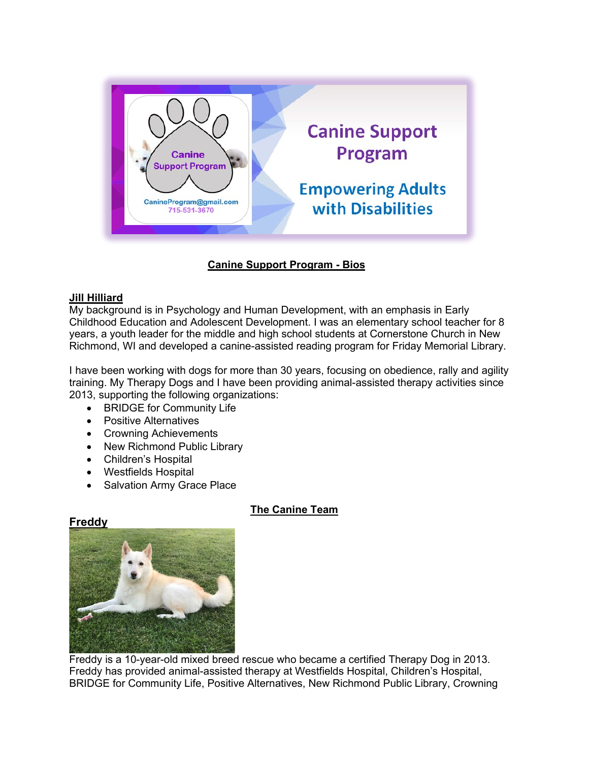

# **Canine Support Program - Bios**

## **Jill Hilliard**

My background is in Psychology and Human Development, with an emphasis in Early Childhood Education and Adolescent Development. I was an elementary school teacher for 8 years, a youth leader for the middle and high school students at Cornerstone Church in New Richmond, WI and developed a canine-assisted reading program for Friday Memorial Library.

I have been working with dogs for more than 30 years, focusing on obedience, rally and agility training. My Therapy Dogs and I have been providing animal-assisted therapy activities since 2013, supporting the following organizations:

- BRIDGE for Community Life
- Positive Alternatives
- Crowning Achievements
- New Richmond Public Library
- Children's Hospital
- Westfields Hospital
- Salvation Army Grace Place

### **The Canine Team**

## **Freddy**



Freddy is a 10-year-old mixed breed rescue who became a certified Therapy Dog in 2013. Freddy has provided animal-assisted therapy at Westfields Hospital, Children's Hospital, BRIDGE for Community Life, Positive Alternatives, New Richmond Public Library, Crowning